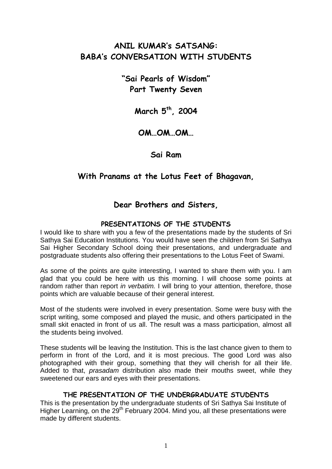## **ANIL KUMAR"s SATSANG: BABA"s CONVERSATION WITH STUDENTS**

**"Sai Pearls of Wisdom" Part Twenty Seven**

**March 5th, 2004**

**OM…OM…OM…**

**Sai Ram**

## **With Pranams at the Lotus Feet of Bhagavan,**

## **Dear Brothers and Sisters,**

## **PRESENTATIONS OF THE STUDENTS**

I would like to share with you a few of the presentations made by the students of Sri Sathya Sai Education Institutions. You would have seen the children from Sri Sathya Sai Higher Secondary School doing their presentations, and undergraduate and postgraduate students also offering their presentations to the Lotus Feet of Swami.

As some of the points are quite interesting, I wanted to share them with you. I am glad that you could be here with us this morning. I will choose some points at random rather than report *in verbatim.* I will bring to your attention, therefore, those points which are valuable because of their general interest.

Most of the students were involved in every presentation. Some were busy with the script writing, some composed and played the music, and others participated in the small skit enacted in front of us all. The result was a mass participation, almost all the students being involved.

These students will be leaving the Institution. This is the last chance given to them to perform in front of the Lord, and it is most precious. The good Lord was also photographed with their group, something that they will cherish for all their life. Added to that, *prasadam* distribution also made their mouths sweet, while they sweetened our ears and eyes with their presentations.

## **THE PRESENTATION OF THE UNDERGRADUATE STUDENTS**

This is the presentation by the undergraduate students of Sri Sathya Sai Institute of Higher Learning, on the 29<sup>th</sup> February 2004. Mind you, all these presentations were made by different students.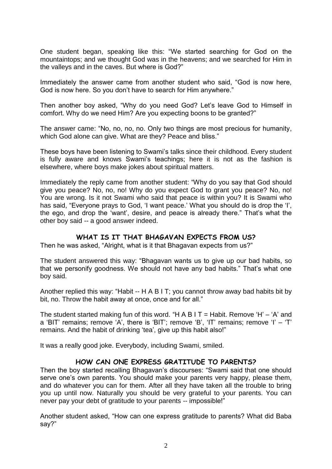One student began, speaking like this: "We started searching for God on the mountaintops; and we thought God was in the heavens; and we searched for Him in the valleys and in the caves. But where is God?"

Immediately the answer came from another student who said, "God is now here, God is now here. So you don"t have to search for Him anywhere."

Then another boy asked, "Why do you need God? Let"s leave God to Himself in comfort. Why do we need Him? Are you expecting boons to be granted?"

The answer came: "No, no, no, no. Only two things are most precious for humanity, which God alone can give. What are they? Peace and bliss."

These boys have been listening to Swami"s talks since their childhood. Every student is fully aware and knows Swami"s teachings; here it is not as the fashion is elsewhere, where boys make jokes about spiritual matters.

Immediately the reply came from another student: "Why do you say that God should give you peace? No, no, no! Why do you expect God to grant you peace? No, no! You are wrong. Is it not Swami who said that peace is within you? It is Swami who has said, "Everyone prays to God, 'I want peace.' What you should do is drop the 'I', the ego, and drop the "want", desire, and peace is already there." That"s what the other boy said -- a good answer indeed.

## **WHAT IS IT THAT BHAGAVAN EXPECTS FROM US?**

Then he was asked, "Alright, what is it that Bhagavan expects from us?"

The student answered this way: "Bhagavan wants us to give up our bad habits, so that we personify goodness. We should not have any bad habits." That's what one boy said.

Another replied this way: "Habit -- H A B I T; you cannot throw away bad habits bit by bit, no. Throw the habit away at once, once and for all."

The student started making fun of this word. "H A B I T = Habit. Remove 'H'  $-$  'A' and a 'BIT' remains; remove 'A', there is 'BIT'; remove 'B', 'IT' remains; remove 'I' – 'T' remains. And the habit of drinking 'tea', give up this habit also!"

It was a really good joke. Everybody, including Swami, smiled.

#### **HOW CAN ONE EXPRESS GRATITUDE TO PARENTS?**

Then the boy started recalling Bhagavan"s discourses: "Swami said that one should serve one's own parents. You should make your parents very happy, please them, and do whatever you can for them. After all they have taken all the trouble to bring you up until now. Naturally you should be very grateful to your parents. You can never pay your debt of gratitude to your parents -- impossible!"

Another student asked, "How can one express gratitude to parents? What did Baba say?"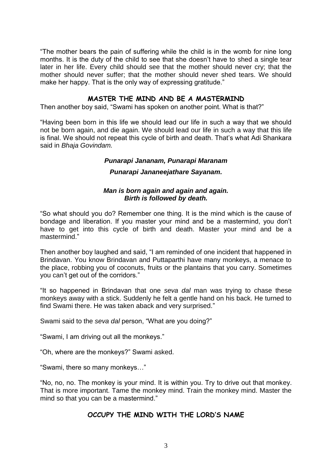"The mother bears the pain of suffering while the child is in the womb for nine long months. It is the duty of the child to see that she doesn"t have to shed a single tear later in her life. Every child should see that the mother should never cry; that the mother should never suffer; that the mother should never shed tears. We should make her happy. That is the only way of expressing gratitude."

#### **MASTER THE MIND AND BE A MASTERMIND**

Then another boy said, "Swami has spoken on another point. What is that?"

"Having been born in this life we should lead our life in such a way that we should not be born again, and die again. We should lead our life in such a way that this life is final. We should not repeat this cycle of birth and death. That"s what Adi Shankara said in *Bhaja Govindam.*

#### *Punarapi Jananam, Punarapi Maranam*

*Punarapi Jananeejathare Sayanam.*

#### *Man is born again and again and again. Birth is followed by death.*

"So what should you do? Remember one thing. It is the mind which is the cause of bondage and liberation. If you master your mind and be a mastermind, you don"t have to get into this cycle of birth and death. Master your mind and be a mastermind."

Then another boy laughed and said, "I am reminded of one incident that happened in Brindavan. You know Brindavan and Puttaparthi have many monkeys, a menace to the place, robbing you of coconuts, fruits or the plantains that you carry. Sometimes you can"t get out of the corridors."

"It so happened in Brindavan that one *seva dal* man was trying to chase these monkeys away with a stick. Suddenly he felt a gentle hand on his back. He turned to find Swami there. He was taken aback and very surprised."

Swami said to the *seva dal* person, "What are you doing?"

"Swami, I am driving out all the monkeys."

"Oh, where are the monkeys?" Swami asked.

"Swami, there so many monkeys…"

"No, no, no. The monkey is your mind. It is within you. Try to drive out that monkey. That is more important. Tame the monkey mind. Train the monkey mind. Master the mind so that you can be a mastermind."

## **OCCUPY THE MIND WITH THE LORD"S NAME**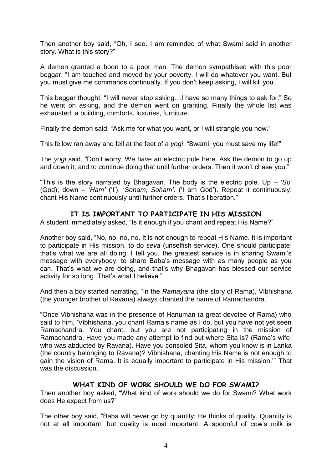Then another boy said, "Oh, I see. I am reminded of what Swami said in another story. What is this story?"

A demon granted a boon to a poor man. The demon sympathised with this poor beggar, "I am touched and moved by your poverty. I will do whatever you want. But you must give me commands continually. If you don"t keep asking, I will kill you."

This beggar thought, "I will never stop asking…I have so many things to ask for." So he went on asking, and the demon went on granting. Finally the whole list was exhausted: a building, comforts, luxuries, furniture.

Finally the demon said, "Ask me for what you want, or I will strangle you now."

This fellow ran away and fell at the feet of a *yogi*. "Swami, you must save my life!"

The *yogi* said, "Don"t worry. We have an electric pole here. Ask the demon to go up and down it, and to continue doing that until further orders. Then it won"t chase you."

"This is the story narrated by Bhagavan. The body is the electric pole. Up – "*So'* (God); down – "*Ham'* ("I"). "*Soham*, *Soham'.* ("I am God"). Repeat it continuously; chant His Name continuously until further orders. That"s liberation."

#### **IT IS IMPORTANT TO PARTICIPATE IN HIS MISSION**

A student immediately asked, "Is it enough if you chant and repeat His Name?"

Another boy said, "No, no, no, no. It is not enough to repeat His Name. It is important to participate in His mission, to do *seva* (unselfish service). One should participate; that"s what we are all doing. I tell you, the greatest service is in sharing Swami"s message with everybody, to share Baba"s message with as many people as you can. That"s what we are doing, and that"s why Bhagavan has blessed our service activity for so long. That"s what I believe."

And then a boy started narrating, "In the *Ramayana* (the story of Rama), Vibhishana (the younger brother of Ravana) always chanted the name of Ramachandra."

"Once Vibhishana was in the presence of Hanuman (a great devotee of Rama) who said to him, 'Vibhishana, you chant Rama's name as I do, but you have not yet seen Ramachandra. You chant, but you are not participating in the mission of Ramachandra. Have you made any attempt to find out where Sita is? (Rama"s wife, who was abducted by Ravana). Have you consoled Sita, whom you know is in Lanka (the country belonging to Ravana)? Vibhishana, chanting His Name is not enough to gain the vision of Rama. It is equally important to participate in His mission."" That was the discussion.

#### **WHAT KIND OF WORK SHOULD WE DO FOR SWAMI?**

Then another boy asked, "What kind of work should we do for Swami? What work does He expect from us?"

The other boy said, "Baba will never go by quantity; He thinks of quality. Quantity is not at all important; but quality is most important. A spoonful of cow"s milk is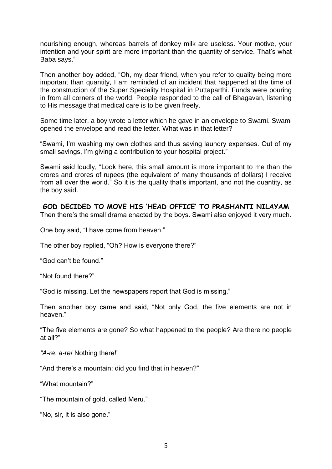nourishing enough, whereas barrels of donkey milk are useless. Your motive, your intention and your spirit are more important than the quantity of service. That"s what Baba says."

Then another boy added, "Oh, my dear friend, when you refer to quality being more important than quantity, I am reminded of an incident that happened at the time of the construction of the Super Speciality Hospital in Puttaparthi. Funds were pouring in from all corners of the world. People responded to the call of Bhagavan, listening to His message that medical care is to be given freely.

Some time later, a boy wrote a letter which he gave in an envelope to Swami. Swami opened the envelope and read the letter. What was in that letter?

"Swami, I"m washing my own clothes and thus saving laundry expenses. Out of my small savings, I'm giving a contribution to your hospital project."

Swami said loudly, "Look here, this small amount is more important to me than the crores and crores of rupees (the equivalent of many thousands of dollars) I receive from all over the world." So it is the quality that's important, and not the quantity, as the boy said.

## **GOD DECIDED TO MOVE HIS "HEAD OFFICE" TO PRASHANTI NILAYAM**

Then there"s the small drama enacted by the boys. Swami also enjoyed it very much.

One boy said, "I have come from heaven."

The other boy replied, "Oh? How is everyone there?"

"God can"t be found."

"Not found there?"

"God is missing. Let the newspapers report that God is missing."

Then another boy came and said, "Not only God, the five elements are not in heaven."

"The five elements are gone? So what happened to the people? Are there no people at all?"

*"A-re*, *a-re!* Nothing there!"

"And there's a mountain; did you find that in heaven?"

"What mountain?"

"The mountain of gold, called Meru."

"No, sir, it is also gone."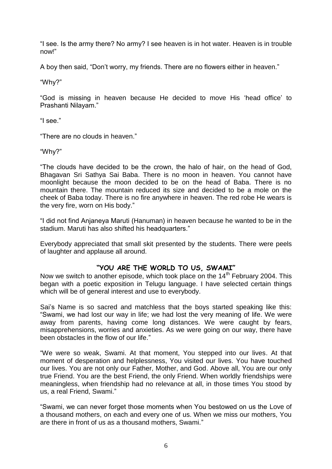"I see. Is the army there? No army? I see heaven is in hot water. Heaven is in trouble now!"

A boy then said, "Don"t worry, my friends. There are no flowers either in heaven."

"Why?"

"God is missing in heaven because He decided to move His "head office" to Prashanti Nilayam."

 $"$  see."

"There are no clouds in heaven."

"Why?"

"The clouds have decided to be the crown, the halo of hair, on the head of God, Bhagavan Sri Sathya Sai Baba. There is no moon in heaven. You cannot have moonlight because the moon decided to be on the head of Baba. There is no mountain there. The mountain reduced its size and decided to be a mole on the cheek of Baba today. There is no fire anywhere in heaven. The red robe He wears is the very fire, worn on His body."

"I did not find Anjaneya Maruti (Hanuman) in heaven because he wanted to be in the stadium. Maruti has also shifted his headquarters."

Everybody appreciated that small skit presented by the students. There were peels of laughter and applause all around.

## **"YOU ARE THE WORLD TO US, SWAMI"**

Now we switch to another episode, which took place on the  $14<sup>th</sup>$  February 2004. This began with a poetic exposition in Telugu language. I have selected certain things which will be of general interest and use to everybody.

Sai"s Name is so sacred and matchless that the boys started speaking like this: "Swami, we had lost our way in life; we had lost the very meaning of life. We were away from parents, having come long distances. We were caught by fears, misapprehensions, worries and anxieties. As we were going on our way, there have been obstacles in the flow of our life."

"We were so weak, Swami. At that moment, You stepped into our lives. At that moment of desperation and helplessness, You visited our lives. You have touched our lives. You are not only our Father, Mother, and God. Above all, You are our only true Friend. You are the best Friend, the only Friend. When worldly friendships were meaningless, when friendship had no relevance at all, in those times You stood by us, a real Friend, Swami."

"Swami, we can never forget those moments when You bestowed on us the Love of a thousand mothers, on each and every one of us. When we miss our mothers, You are there in front of us as a thousand mothers, Swami."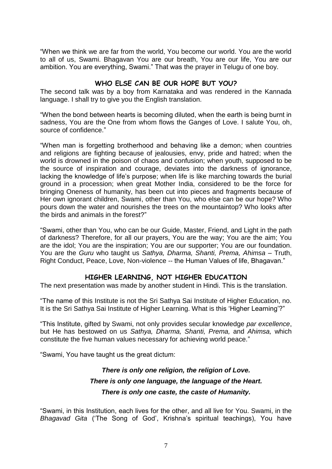"When we think we are far from the world, You become our world. You are the world to all of us, Swami. Bhagavan You are our breath, You are our life, You are our ambition. You are everything, Swami." That was the prayer in Telugu of one boy.

## **WHO ELSE CAN BE OUR HOPE BUT YOU?**

The second talk was by a boy from Karnataka and was rendered in the Kannada language. I shall try to give you the English translation.

"When the bond between hearts is becoming diluted, when the earth is being burnt in sadness, You are the One from whom flows the Ganges of Love. I salute You, oh, source of confidence."

"When man is forgetting brotherhood and behaving like a demon; when countries and religions are fighting because of jealousies, envy, pride and hatred; when the world is drowned in the poison of chaos and confusion; when youth, supposed to be the source of inspiration and courage, deviates into the darkness of ignorance, lacking the knowledge of life"s purpose; when life is like marching towards the burial ground in a procession; when great Mother India, considered to be the force for bringing Oneness of humanity, has been cut into pieces and fragments because of Her own ignorant children, Swami, other than You, who else can be our hope? Who pours down the water and nourishes the trees on the mountaintop? Who looks after the birds and animals in the forest?"

"Swami, other than You, who can be our Guide, Master, Friend, and Light in the path of darkness? Therefore, for all our prayers, You are the way; You are the aim; You are the idol; You are the inspiration; You are our supporter; You are our foundation. You are the *Guru* who taught us *Sathya, Dharma, Shanti, Prema, Ahimsa* – Truth, Right Conduct, Peace, Love, Non-violence -- the Human Values of life, Bhagavan."

## **HIGHER LEARNING, NOT HIGHER EDUCATION**

The next presentation was made by another student in Hindi. This is the translation.

"The name of this Institute is not the Sri Sathya Sai Institute of Higher Education, no. It is the Sri Sathya Sai Institute of Higher Learning. What is this "Higher Learning"?"

"This Institute, gifted by Swami, not only provides secular knowledge *par excellence*, but He has bestowed on us *Sathya, Dharma, Shanti, Prema,* and *Ahimsa,* which constitute the five human values necessary for achieving world peace."

"Swami, You have taught us the great dictum:

## *There is only one religion, the religion of Love. There is only one language, the language of the Heart. There is only one caste, the caste of Humanity.*

"Swami, in this Institution, each lives for the other, and all live for You. Swami, in the *Bhagavad Gita* ("The Song of God", Krishna"s spiritual teachings), You have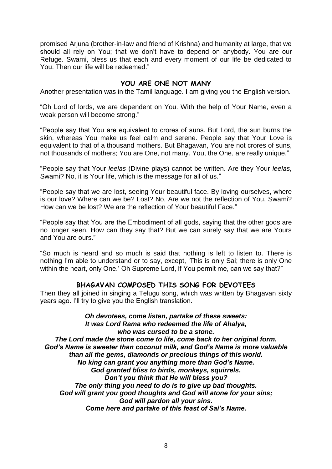promised Arjuna (brother-in-law and friend of Krishna) and humanity at large, that we should all rely on You; that we don't have to depend on anybody. You are our Refuge. Swami, bless us that each and every moment of our life be dedicated to You. Then our life will be redeemed."

## **YOU ARE ONE NOT MANY**

Another presentation was in the Tamil language. I am giving you the English version.

"Oh Lord of lords, we are dependent on You. With the help of Your Name, even a weak person will become strong."

"People say that You are equivalent to crores of suns. But Lord, the sun burns the skin, whereas You make us feel calm and serene. People say that Your Love is equivalent to that of a thousand mothers. But Bhagavan, You are not crores of suns, not thousands of mothers; You are One, not many. You, the One, are really unique."

"People say that Your *leelas* (Divine plays) cannot be written. Are they Your *leelas,* Swami? No, it is Your life, which is the message for all of us."

"People say that we are lost, seeing Your beautiful face. By loving ourselves, where is our love? Where can we be? Lost? No, Are we not the reflection of You, Swami? How can we be lost? We are the reflection of Your beautiful Face."

"People say that You are the Embodiment of all gods, saying that the other gods are no longer seen. How can they say that? But we can surely say that we are Yours and You are ours."

"So much is heard and so much is said that nothing is left to listen to. There is nothing I"m able to understand or to say, except, "This is only Sai; there is only One within the heart, only One.' Oh Supreme Lord, if You permit me, can we say that?"

## **BHAGAVAN COMPOSED THIS SONG FOR DEVOTEES**

Then they all joined in singing a Telugu song, which was written by Bhagavan sixty years ago. I"ll try to give you the English translation.

*Oh devotees, come listen, partake of these sweets: It was Lord Rama who redeemed the life of Ahalya, who was cursed to be a stone. The Lord made the stone come to life, come back to her original form. God's Name is sweeter than coconut milk, and God's Name is more valuable than all the gems, diamonds or precious things of this world. No king can grant you anything more than God's Name. God granted bliss to birds, monkeys, squirrels. Don't you think that He will bless you? The only thing you need to do is to give up bad thoughts. God will grant you good thoughts and God will atone for your sins; God will pardon all your sins. Come here and partake of this feast of Sai's Name.*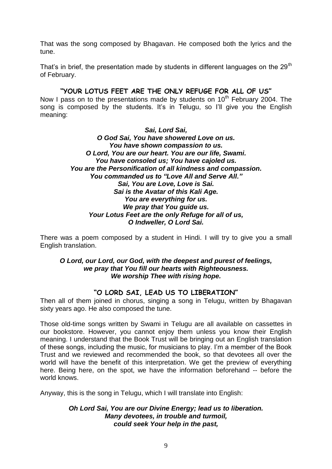That was the song composed by Bhagavan. He composed both the lyrics and the tune.

That's in brief, the presentation made by students in different languages on the  $29<sup>th</sup>$ of February.

## **"YOUR LOTUS FEET ARE THE ONLY REFUGE FOR ALL OF US"**

Now I pass on to the presentations made by students on  $10<sup>th</sup>$  February 2004. The song is composed by the students. It's in Telugu, so I'll give you the English meaning:

> *Sai, Lord Sai, O God Sai, You have showered Love on us. You have shown compassion to us. O Lord, You are our heart. You are our life, Swami. You have consoled us; You have cajoled us. You are the Personification of all kindness and compassion. You commanded us to "Love All and Serve All." Sai, You are Love, Love is Sai. Sai is the Avatar of this Kali Age. You are everything for us. We pray that You guide us. Your Lotus Feet are the only Refuge for all of us, O Indweller, O Lord Sai.*

There was a poem composed by a student in Hindi. I will try to give you a small English translation.

#### *O Lord, our Lord, our God, with the deepest and purest of feelings, we pray that You fill our hearts with Righteousness. We worship Thee with rising hope.*

## **"O LORD SAI, LEAD US TO LIBERATION"**

Then all of them joined in chorus, singing a song in Telugu, written by Bhagavan sixty years ago. He also composed the tune.

Those old-time songs written by Swami in Telugu are all available on cassettes in our bookstore. However, you cannot enjoy them unless you know their English meaning. I understand that the Book Trust will be bringing out an English translation of these songs, including the music, for musicians to play. I"m a member of the Book Trust and we reviewed and recommended the book, so that devotees all over the world will have the benefit of this interpretation. We get the preview of everything here. Being here, on the spot, we have the information beforehand -- before the world knows.

Anyway, this is the song in Telugu, which I will translate into English:

*Oh Lord Sai, You are our Divine Energy; lead us to liberation. Many devotees, in trouble and turmoil, could seek Your help in the past,*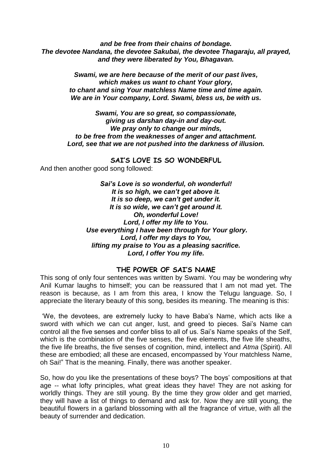*and be free from their chains of bondage. The devotee Nandana, the devotee Sakubai, the devotee Thagaraju, all prayed, and they were liberated by You, Bhagavan.*

> *Swami, we are here because of the merit of our past lives, which makes us want to chant Your glory, to chant and sing Your matchless Name time and time again. We are in Your company, Lord. Swami, bless us, be with us.*

*Swami, You are so great, so compassionate, giving us darshan day-in and day-out. We pray only to change our minds, to be free from the weaknesses of anger and attachment. Lord, see that we are not pushed into the darkness of illusion.*

### **SAI"S LOVE IS SO WONDERFUL**

And then another good song followed:

*Sai's Love is so wonderful, oh wonderful! It is so high, we can't get above it. It is so deep, we can't get under it. It is so wide, we can't get around it. Oh, wonderful Love! Lord, I offer my life to You. Use everything I have been through for Your glory. Lord, I offer my days to You, lifting my praise to You as a pleasing sacrifice. Lord, I offer You my life.*

#### **THE POWER OF SAI"S NAME**

This song of only four sentences was written by Swami. You may be wondering why Anil Kumar laughs to himself; you can be reassured that I am not mad yet. The reason is because, as I am from this area, I know the Telugu language. So, I appreciate the literary beauty of this song, besides its meaning. The meaning is this:

"We, the devotees, are extremely lucky to have Baba"s Name, which acts like a sword with which we can cut anger, lust, and greed to pieces. Sai's Name can control all the five senses and confer bliss to all of us. Sai"s Name speaks of the Self, which is the combination of the five senses, the five elements, the five life sheaths, the five life breaths, the five senses of cognition, mind, intellect and *Atma* (Spirit). All these are embodied; all these are encased, encompassed by Your matchless Name, oh Sai!" That is the meaning. Finally, there was another speaker.

So, how do you like the presentations of these boys? The boys" compositions at that age -- what lofty principles, what great ideas they have! They are not asking for worldly things. They are still young. By the time they grow older and get married, they will have a list of things to demand and ask for. Now they are still young, the beautiful flowers in a garland blossoming with all the fragrance of virtue, with all the beauty of surrender and dedication.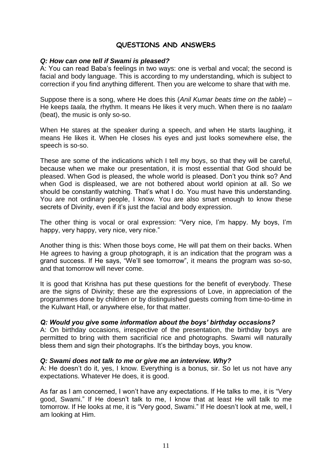## **QUESTIONS AND ANSWERS**

#### *Q: How can one tell if Swami is pleased?*

A: You can read Baba"s feelings in two ways: one is verbal and vocal; the second is facial and body language. This is according to my understanding, which is subject to correction if you find anything different. Then you are welcome to share that with me.

Suppose there is a song, where He does this (*Anil Kumar beats time on the table*) – He keeps *taala,* the rhythm. It means He likes it very much. When there is no *taalam* (beat), the music is only so-so.

When He stares at the speaker during a speech, and when He starts laughing, it means He likes it. When He closes his eyes and just looks somewhere else, the speech is so-so.

These are some of the indications which I tell my boys, so that they will be careful, because when we make our presentation, it is most essential that God should be pleased. When God is pleased, the whole world is pleased. Don"t you think so? And when God is displeased, we are not bothered about world opinion at all. So we should be constantly watching. That"s what I do. You must have this understanding. You are not ordinary people, I know. You are also smart enough to know these secrets of Divinity, even if it's just the facial and body expression.

The other thing is vocal or oral expression: "Very nice, I"m happy. My boys, I"m happy, very happy, very nice, very nice."

Another thing is this: When those boys come, He will pat them on their backs. When He agrees to having a group photograph, it is an indication that the program was a grand success. If He says, "We"ll see tomorrow", it means the program was so-so, and that tomorrow will never come.

It is good that Krishna has put these questions for the benefit of everybody. These are the signs of Divinity; these are the expressions of Love, in appreciation of the programmes done by children or by distinguished guests coming from time-to-time in the Kulwant Hall, or anywhere else, for that matter.

#### *Q: Would you give some information about the boys' birthday occasions?*

A: On birthday occasions, irrespective of the presentation, the birthday boys are permitted to bring with them sacrificial rice and photographs. Swami will naturally bless them and sign their photographs. It"s the birthday boys, you know.

#### *Q: Swami does not talk to me or give me an interview. Why?*

A: He doesn"t do it, yes, I know. Everything is a bonus, sir. So let us not have any expectations. Whatever He does, it is good.

As far as I am concerned, I won"t have any expectations. If He talks to me, it is "Very good, Swami." If He doesn"t talk to me, I know that at least He will talk to me tomorrow. If He looks at me, it is "Very good, Swami." If He doesn"t look at me, well, I am looking at Him.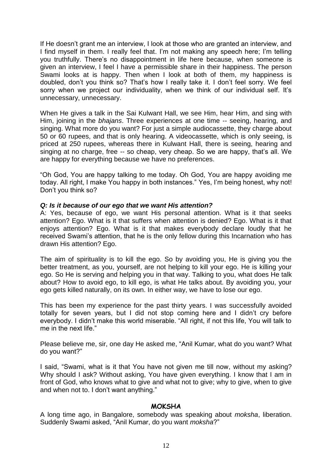If He doesn"t grant me an interview, I look at those who are granted an interview, and I find myself in them. I really feel that. I'm not making any speech here; I'm telling you truthfully. There"s no disappointment in life here because, when someone is given an interview, I feel I have a permissible share in their happiness. The person Swami looks at is happy. Then when I look at both of them, my happiness is doubled, don"t you think so? That"s how I really take it. I don"t feel sorry. We feel sorry when we project our individuality, when we think of our individual self. It's unnecessary, unnecessary.

When He gives a talk in the Sai Kulwant Hall, we see Him, hear Him, and sing with Him, joining in the *bhajans*. Three experiences at one time -- seeing, hearing, and singing. What more do you want? For just a simple audiocassette, they charge about 50 or 60 rupees, and that is only hearing. A videocassette, which is only seeing, is priced at 250 rupees, whereas there in Kulwant Hall, there is seeing, hearing and singing at no charge, free -- so cheap, very cheap. So we are happy, that's all. We are happy for everything because we have no preferences.

"Oh God, You are happy talking to me today. Oh God, You are happy avoiding me today. All right, I make You happy in both instances." Yes, I"m being honest, why not! Don"t you think so?

#### *Q: Is it because of our ego that we want His attention?*

A: Yes, because of ego, we want His personal attention. What is it that seeks attention? Ego. What is it that suffers when attention is denied? Ego. What is it that enjoys attention? Ego. What is it that makes everybody declare loudly that he received Swami"s attention, that he is the only fellow during this Incarnation who has drawn His attention? Ego.

The aim of spirituality is to kill the ego. So by avoiding you, He is giving you the better treatment, as you, yourself, are not helping to kill your ego. He is killing your ego. So He is serving and helping you in that way. Talking to you, what does He talk about? How to avoid ego, to kill ego, is what He talks about. By avoiding you, your ego gets killed naturally, on its own. In either way, we have to lose our ego.

This has been my experience for the past thirty years. I was successfully avoided totally for seven years, but I did not stop coming here and I didn"t cry before everybody. I didn"t make this world miserable. "All right, if not this life, You will talk to me in the next life."

Please believe me, sir, one day He asked me, "Anil Kumar, what do you want? What do you want?"

I said, "Swami, what is it that You have not given me till now, without my asking? Why should I ask? Without asking, You have given everything. I know that I am in front of God, who knows what to give and what not to give; why to give, when to give and when not to. I don"t want anything."

#### **MOKSHA**

A long time ago, in Bangalore, somebody was speaking about *moksha*, liberation. Suddenly Swami asked, "Anil Kumar, do you want *moksha*?"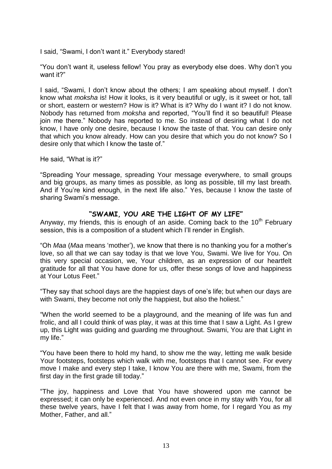I said, "Swami, I don"t want it." Everybody stared!

"You don"t want it, useless fellow! You pray as everybody else does. Why don"t you want it?"

I said, "Swami, I don"t know about the others; I am speaking about myself. I don"t know what *moksha* is! How it looks, is it very beautiful or ugly, is it sweet or hot, tall or short, eastern or western? How is it? What is it? Why do I want it? I do not know. Nobody has returned from *moksha* and reported, "You"ll find it so beautiful! Please join me there." Nobody has reported to me. So instead of desiring what I do not know, I have only one desire, because I know the taste of that. You can desire only that which you know already. How can you desire that which you do not know? So I desire only that which I know the taste of."

He said, "What is it?"

"Spreading Your message, spreading Your message everywhere, to small groups and big groups, as many times as possible, as long as possible, till my last breath. And if You"re kind enough, in the next life also." Yes, because I know the taste of sharing Swami's message.

### **"SWAMI, YOU ARE THE LIGHT OF MY LIFE"**

Anyway, my friends, this is enough of an aside. Coming back to the  $10<sup>th</sup>$  February session, this is a composition of a student which I"ll render in English.

"Oh *Maa* (*Maa* means "mother"), we know that there is no thanking you for a mother"s love, so all that we can say today is that we love You, Swami. We live for You. On this very special occasion, we, Your children, as an expression of our heartfelt gratitude for all that You have done for us, offer these songs of love and happiness at Your Lotus Feet."

"They say that school days are the happiest days of one"s life; but when our days are with Swami, they become not only the happiest, but also the holiest."

"When the world seemed to be a playground, and the meaning of life was fun and frolic, and all I could think of was play, it was at this time that I saw a Light. As I grew up, this Light was guiding and guarding me throughout. Swami, You are that Light in my life."

"You have been there to hold my hand, to show me the way, letting me walk beside Your footsteps, footsteps which walk with me, footsteps that I cannot see. For every move I make and every step I take, I know You are there with me, Swami, from the first day in the first grade till today."

"The joy, happiness and Love that You have showered upon me cannot be expressed; it can only be experienced. And not even once in my stay with You, for all these twelve years, have I felt that I was away from home, for I regard You as my Mother, Father, and all."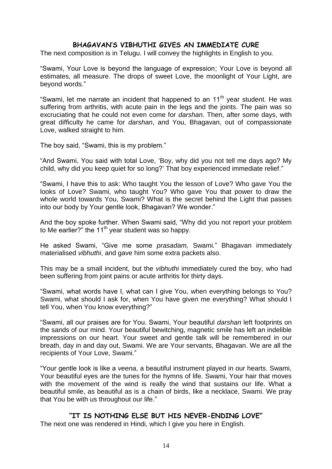## **BHAGAVAN"S VIBHUTHI GIVES AN IMMEDIATE CURE**

The next composition is in Telugu. I will convey the highlights in English to you.

"Swami, Your Love is beyond the language of expression; Your Love is beyond all estimates, all measure. The drops of sweet Love, the moonlight of Your Light, are beyond words."

"Swami, let me narrate an incident that happened to an  $11<sup>th</sup>$  year student. He was suffering from arthritis, with acute pain in the legs and the joints. The pain was so excruciating that he could not even come for *darshan.* Then, after some days, with great difficulty he came for *darshan*, and You, Bhagavan, out of compassionate Love, walked straight to him.

The boy said, "Swami, this is my problem."

"And Swami, You said with total Love, "Boy, why did you not tell me days ago? My child, why did you keep quiet for so long?" That boy experienced immediate relief."

"Swami, I have this to ask: Who taught You the lesson of Love? Who gave You the looks of Love? Swami, who taught You? Who gave You that power to draw the whole world towards You, Swami? What is the secret behind the Light that passes into our body by Your gentle look, Bhagavan? We wonder."

And the boy spoke further. When Swami said, "Why did you not report your problem to Me earlier?" the 11<sup>th</sup> year student was so happy.

He asked Swami, "Give me some *prasadam,* Swami*.*" Bhagavan immediately materialised *vibhuthi*, and gave him some extra packets also.

This may be a small incident, but the *vibhuthi* immediately cured the boy, who had been suffering from joint pains or acute arthritis for thirty days.

"Swami, what words have I, what can I give You, when everything belongs to You? Swami, what should I ask for, when You have given me everything? What should I tell You, when You know everything?"

"Swami, all our praises are for You. Swami, Your beautiful *darshan* left footprints on the sands of our mind. Your beautiful bewitching, magnetic smile has left an indelible impressions on our heart. Your sweet and gentle talk will be remembered in our breath, day in and day out, Swami. We are Your servants, Bhagavan. We are all the recipients of Your Love, Swami."

"Your gentle look is like a *veena*, a beautiful instrument played in our hearts. Swami, Your beautiful eyes are the tunes for the hymns of life. Swami, Your hair that moves with the movement of the wind is really the wind that sustains our life. What a beautiful smile, as beautiful as is a chain of birds, like a necklace, Swami. We pray that You be with us throughout our life."

#### **"IT IS NOTHING ELSE BUT HIS NEVER-ENDING LOVE"**

The next one was rendered in Hindi, which I give you here in English.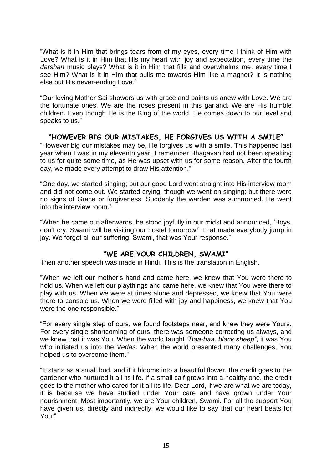"What is it in Him that brings tears from of my eyes, every time I think of Him with Love? What is it in Him that fills my heart with joy and expectation, every time the *darshan* music plays? What is it in Him that fills and overwhelms me, every time I see Him? What is it in Him that pulls me towards Him like a magnet? It is nothing else but His never-ending Love."

"Our loving Mother Sai showers us with grace and paints us anew with Love. We are the fortunate ones. We are the roses present in this garland. We are His humble children. Even though He is the King of the world, He comes down to our level and speaks to us."

### **"HOWEVER BIG OUR MISTAKES, HE FORGIVES US WITH A SMILE"**

"However big our mistakes may be, He forgives us with a smile. This happened last year when I was in my eleventh year. I remember Bhagavan had not been speaking to us for quite some time, as He was upset with us for some reason. After the fourth day, we made every attempt to draw His attention."

"One day, we started singing; but our good Lord went straight into His interview room and did not come out. We started crying, though we went on singing; but there were no signs of Grace or forgiveness. Suddenly the warden was summoned. He went into the interview room."

"When he came out afterwards, he stood joyfully in our midst and announced, "Boys, don"t cry. Swami will be visiting our hostel tomorrow!" That made everybody jump in joy. We forgot all our suffering. Swami, that was Your response."

#### **"WE ARE YOUR CHILDREN, SWAMI"**

Then another speech was made in Hindi. This is the translation in English.

"When we left our mother"s hand and came here, we knew that You were there to hold us. When we left our playthings and came here, we knew that You were there to play with us. When we were at times alone and depressed, we knew that You were there to console us. When we were filled with joy and happiness, we knew that You were the one responsible."

"For every single step of ours, we found footsteps near, and knew they were Yours. For every single shortcoming of ours, there was someone correcting us always, and we knew that it was You. When the world taught *"Baa-baa, black sheep"*, it was You who initiated us into the *Vedas.* When the world presented many challenges, You helped us to overcome them."

"It starts as a small bud, and if it blooms into a beautiful flower, the credit goes to the gardener who nurtured it all its life. If a small calf grows into a healthy one, the credit goes to the mother who cared for it all its life. Dear Lord, if we are what we are today, it is because we have studied under Your care and have grown under Your nourishment. Most importantly, we are Your children, Swami. For all the support You have given us, directly and indirectly, we would like to say that our heart beats for You!"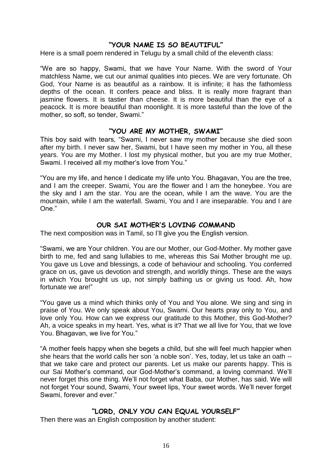### **"YOUR NAME IS SO BEAUTIFUL"**

Here is a small poem rendered in Telugu by a small child of the eleventh class:

"We are so happy, Swami, that we have Your Name. With the sword of Your matchless Name, we cut our animal qualities into pieces. We are very fortunate. Oh God, Your Name is as beautiful as a rainbow. It is infinite; it has the fathomless depths of the ocean. It confers peace and bliss. It is really more fragrant than jasmine flowers. It is tastier than cheese. It is more beautiful than the eye of a peacock. It is more beautiful than moonlight. It is more tasteful than the love of the mother, so soft, so tender, Swami."

#### **"YOU ARE MY MOTHER, SWAMI"**

This boy said with tears, "Swami, I never saw my mother because she died soon after my birth. I never saw her, Swami, but I have seen my mother in You, all these years. You are my Mother. I lost my physical mother, but you are my true Mother, Swami. I received all my mother's love from You."

"You are my life, and hence I dedicate my life unto You. Bhagavan, You are the tree, and I am the creeper. Swami, You are the flower and I am the honeybee. You are the sky and I am the star. You are the ocean, while I am the wave. You are the mountain, while I am the waterfall. Swami, You and I are inseparable. You and I are One."

### **OUR SAI MOTHER"S LOVING COMMAND**

The next composition was in Tamil, so I"ll give you the English version.

"Swami, we are Your children. You are our Mother, our God-Mother. My mother gave birth to me, fed and sang lullabies to me, whereas this Sai Mother brought me up. You gave us Love and blessings, a code of behaviour and schooling. You conferred grace on us, gave us devotion and strength, and worldly things. These are the ways in which You brought us up, not simply bathing us or giving us food. Ah, how fortunate we are!"

"You gave us a mind which thinks only of You and You alone. We sing and sing in praise of You. We only speak about You, Swami. Our hearts pray only to You, and love only You. How can we express our gratitude to this Mother, this God-Mother? Ah, a voice speaks in my heart. Yes, what is it? That we all live for You, that we love You. Bhagavan, we live for You."

"A mother feels happy when she begets a child, but she will feel much happier when she hears that the world calls her son "a noble son". Yes, today, let us take an oath - that we take care and protect our parents. Let us make our parents happy. This is our Sai Mother"s command, our God-Mother"s command, a loving command. We"ll never forget this one thing. We"ll not forget what Baba, our Mother, has said. We will not forget Your sound, Swami, Your sweet lips, Your sweet words. We"ll never forget Swami, forever and ever."

## **"LORD, ONLY YOU CAN EQUAL YOURSELF"**

Then there was an English composition by another student: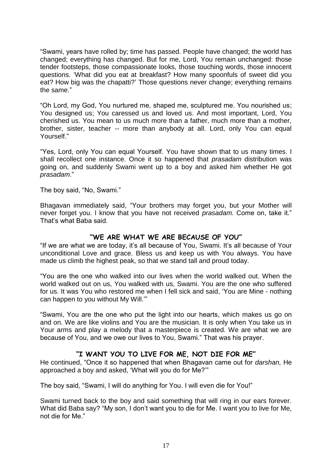"Swami, years have rolled by; time has passed. People have changed; the world has changed; everything has changed. But for me, Lord, You remain unchanged: those tender footsteps, those compassionate looks, those touching words, those innocent questions. "What did you eat at breakfast? How many spoonfuls of sweet did you eat? How big was the chapatti?" Those questions never change; everything remains the same."

"Oh Lord, my God, You nurtured me, shaped me, sculptured me. You nourished us; You designed us; You caressed us and loved us. And most important, Lord, You cherished us. You mean to us much more than a father, much more than a mother, brother, sister, teacher -- more than anybody at all. Lord, only You can equal Yourself."

"Yes, Lord, only You can equal Yourself. You have shown that to us many times. I shall recollect one instance. Once it so happened that *prasadam* distribution was going on, and suddenly Swami went up to a boy and asked him whether He got *prasadam*."

The boy said, "No, Swami."

Bhagavan immediately said, "Your brothers may forget you, but your Mother will never forget you. I know that you have not received *prasadam.* Come on, take it." That"s what Baba said.

## **"WE ARE WHAT WE ARE BECAUSE OF YOU"**

"If we are what we are today, it"s all because of You, Swami. It"s all because of Your unconditional Love and grace. Bless us and keep us with You always. You have made us climb the highest peak, so that we stand tall and proud today.

"You are the one who walked into our lives when the world walked out. When the world walked out on us, You walked with us, Swami. You are the one who suffered for us. It was You who restored me when I fell sick and said, "You are Mine - nothing can happen to you without My Will.""

"Swami, You are the one who put the light into our hearts, which makes us go on and on. We are like violins and You are the musician. It is only when You take us in Your arms and play a melody that a masterpiece is created. We are what we are because of You, and we owe our lives to You, Swami." That was his prayer.

## **"I WANT YOU TO LIVE FOR ME, NOT DIE FOR ME"**

He continued, "Once it so happened that when Bhagavan came out for *darshan,* He approached a boy and asked, "What will you do for Me?""

The boy said, "Swami, I will do anything for You. I will even die for You!"

Swami turned back to the boy and said something that will ring in our ears forever. What did Baba say? "My son, I don"t want you to die for Me. I want you to live for Me, not die for Me."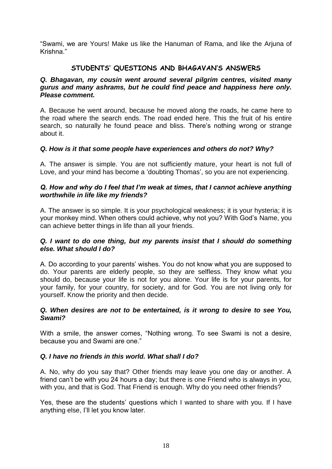"Swami, we are Yours! Make us like the Hanuman of Rama, and like the Arjuna of Krishna."

## **STUDENTS" QUESTIONS AND BHAGAVAN"S ANSWERS**

#### *Q. Bhagavan, my cousin went around several pilgrim centres, visited many gurus and many ashrams, but he could find peace and happiness here only. Please comment.*

A. Because he went around, because he moved along the roads, he came here to the road where the search ends. The road ended here. This the fruit of his entire search, so naturally he found peace and bliss. There's nothing wrong or strange about it.

### *Q. How is it that some people have experiences and others do not? Why?*

A. The answer is simple. You are not sufficiently mature, your heart is not full of Love, and your mind has become a 'doubting Thomas', so you are not experiencing.

#### *Q. How and why do I feel that I'm weak at times, that I cannot achieve anything worthwhile in life like my friends?*

A. The answer is so simple. It is your psychological weakness; it is your hysteria; it is your monkey mind. When others could achieve, why not you? With God"s Name, you can achieve better things in life than all your friends.

#### *Q. I want to do one thing, but my parents insist that I should do something else. What should I do?*

A. Do according to your parents' wishes. You do not know what you are supposed to do. Your parents are elderly people, so they are selfless. They know what you should do, because your life is not for you alone. Your life is for your parents, for your family, for your country, for society, and for God. You are not living only for yourself. Know the priority and then decide.

#### *Q. When desires are not to be entertained, is it wrong to desire to see You, Swami?*

With a smile, the answer comes, "Nothing wrong. To see Swami is not a desire, because you and Swami are one."

#### *Q. I have no friends in this world. What shall I do?*

A. No, why do you say that? Other friends may leave you one day or another. A friend can"t be with you 24 hours a day; but there is one Friend who is always in you, with you, and that is God. That Friend is enough. Why do you need other friends?

Yes, these are the students' questions which I wanted to share with you. If I have anything else, I"ll let you know later.